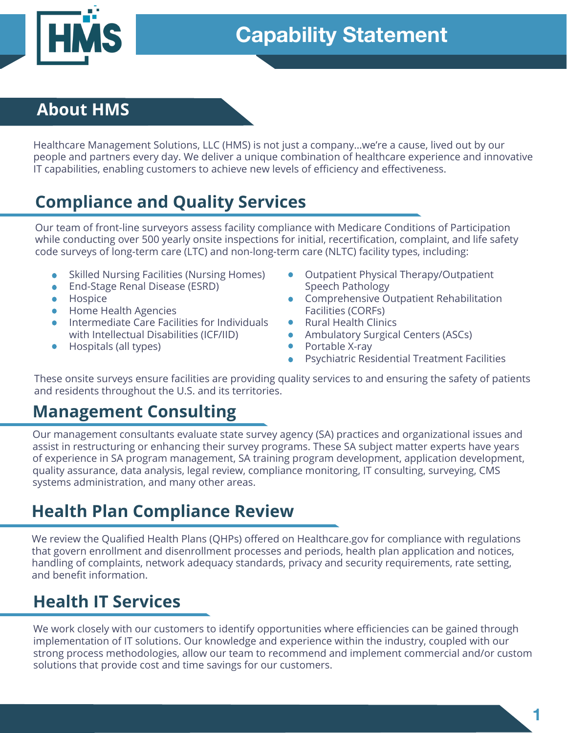

## **About HMS**

Healthcare Management Solutions, LLC (HMS) is not just a company…we're a cause, lived out by our people and partners every day. We deliver a unique combination of healthcare experience and innovative IT capabilities, enabling customers to achieve new levels of efficiency and effectiveness.

# **Compliance and Quality Services**

Our team of front-line surveyors assess facility compliance with Medicare Conditions of Participation while conducting over 500 yearly onsite inspections for initial, recertification, complaint, and life safety code surveys of long-term care (LTC) and non-long-term care (NLTC) facility types, including:

- Skilled Nursing Facilities (Nursing Homes)
- End-Stage Renal Disease (ESRD)
- Hospice
- Home Health Agencies
- Intermediate Care Facilities for Individuals with Intellectual Disabilities (ICF/IID)
- Hospitals (all types)
- Outpatient Physical Therapy/Outpatient Speech Pathology
- Comprehensive Outpatient Rehabilitation Facilities (CORFs)
- Rural Health Clinics
	- Ambulatory Surgical Centers (ASCs)
- Portable X-ray
- Psychiatric Residential Treatment Facilities

These onsite surveys ensure facilities are providing quality services to and ensuring the safety of patients and residents throughout the U.S. and its territories.

## **Management Consulting**

Our management consultants evaluate state survey agency (SA) practices and organizational issues and assist in restructuring or enhancing their survey programs. These SA subject matter experts have years of experience in SA program management, SA training program development, application development, quality assurance, data analysis, legal review, compliance monitoring, IT consulting, surveying, CMS systems administration, and many other areas.

## **Health Plan Compliance Review**

We review the Qualified Health Plans (QHPs) offered on Healthcare.gov for compliance with regulations that govern enrollment and disenrollment processes and periods, health plan application and notices, handling of complaints, network adequacy standards, privacy and security requirements, rate setting, and benefit information.

# **Health IT Services**

We work closely with our customers to identify opportunities where efficiencies can be gained through implementation of IT solutions. Our knowledge and experience within the industry, coupled with our strong process methodologies, allow our team to recommend and implement commercial and/or custom solutions that provide cost and time savings for our customers.

**1**